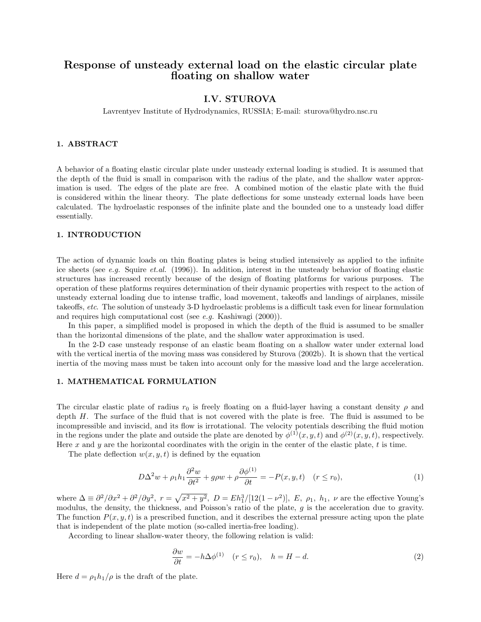# Response of unsteady external load on the elastic circular plate floating on shallow water

## I.V. STUROVA

Lavrentyev Institute of Hydrodynamics, RUSSIA; E-mail: sturova@hydro.nsc.ru

#### 1. ABSTRACT

A behavior of a floating elastic circular plate under unsteady external loading is studied. It is assumed that the depth of the fluid is small in comparison with the radius of the plate, and the shallow water approximation is used. The edges of the plate are free. A combined motion of the elastic plate with the fluid is considered within the linear theory. The plate deflections for some unsteady external loads have been calculated. The hydroelastic responses of the infinite plate and the bounded one to a unsteady load differ essentially.

#### 1. INTRODUCTION

The action of dynamic loads on thin floating plates is being studied intensively as applied to the infinite ice sheets (see e.g. Squire et.al. (1996)). In addition, interest in the unsteady behavior of floating elastic structures has increased recently because of the design of floating platforms for various purposes. The operation of these platforms requires determination of their dynamic properties with respect to the action of unsteady external loading due to intense traffic, load movement, takeoffs and landings of airplanes, missile takeoffs, etc. The solution of unsteady 3-D hydroelastic problems is a difficult task even for linear formulation and requires high computational cost (see e.g. Kashiwagi (2000)).

In this paper, a simplified model is proposed in which the depth of the fluid is assumed to be smaller than the horizontal dimensions of the plate, and the shallow water approximation is used.

In the 2-D case unsteady response of an elastic beam floating on a shallow water under external load with the vertical inertia of the moving mass was considered by Sturova (2002b). It is shown that the vertical inertia of the moving mass must be taken into account only for the massive load and the large acceleration.

#### 1. MATHEMATICAL FORMULATION

The circular elastic plate of radius  $r_0$  is freely floating on a fluid-layer having a constant density  $\rho$  and depth H. The surface of the fluid that is not covered with the plate is free. The fluid is assumed to be incompressible and inviscid, and its flow is irrotational. The velocity potentials describing the fluid motion in the regions under the plate and outside the plate are denoted by  $\phi^{(1)}(x, y, t)$  and  $\phi^{(2)}(x, y, t)$ , respectively. Here x and y are the horizontal coordinates with the origin in the center of the elastic plate, t is time.

The plate deflection  $w(x, y, t)$  is defined by the equation

$$
D\Delta^2 w + \rho_1 h_1 \frac{\partial^2 w}{\partial t^2} + g\rho w + \rho \frac{\partial \phi^{(1)}}{\partial t} = -P(x, y, t) \quad (r \le r_0),
$$
\n(1)

where  $\Delta \equiv \partial^2/\partial x^2 + \partial^2/\partial y^2$ ,  $r = \sqrt{x^2 + y^2}$ ,  $D = Eh_1^3/[12(1 - \nu^2)]$ , E,  $\rho_1$ ,  $h_1$ ,  $\nu$  are the effective Young's modulus, the density, the thickness, and Poisson's ratio of the plate,  $g$  is the acceleration due to gravity. The function  $P(x, y, t)$  is a prescribed function, and it describes the external pressure acting upon the plate that is independent of the plate motion (so-called inertia-free loading).

According to linear shallow-water theory, the following relation is valid:

$$
\frac{\partial w}{\partial t} = -h \Delta \phi^{(1)} \quad (r \le r_0), \quad h = H - d. \tag{2}
$$

Here  $d = \rho_1 h_1 / \rho$  is the draft of the plate.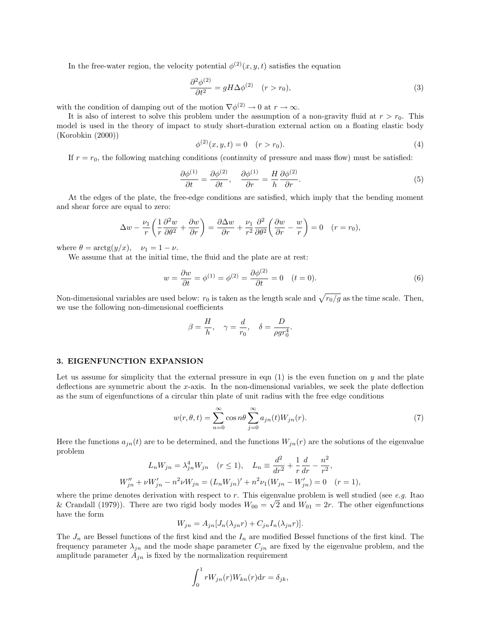In the free-water region, the velocity potential  $\phi^{(2)}(x, y, t)$  satisfies the equation

$$
\frac{\partial^2 \phi^{(2)}}{\partial t^2} = g H \Delta \phi^{(2)} \quad (r > r_0),\tag{3}
$$

with the condition of damping out of the motion  $\nabla \phi^{(2)} \to 0$  at  $r \to \infty$ .

It is also of interest to solve this problem under the assumption of a non-gravity fluid at  $r > r_0$ . This model is used in the theory of impact to study short-duration external action on a floating elastic body (Korobkin (2000))

$$
\phi^{(2)}(x, y, t) = 0 \quad (r > r_0). \tag{4}
$$

If  $r = r_0$ , the following matching conditions (continuity of pressure and mass flow) must be satisfied:

$$
\frac{\partial \phi^{(1)}}{\partial t} = \frac{\partial \phi^{(2)}}{\partial t}, \quad \frac{\partial \phi^{(1)}}{\partial r} = \frac{H}{h} \frac{\partial \phi^{(2)}}{\partial r}.
$$
\n(5)

At the edges of the plate, the free-edge conditions are satisfied, which imply that the bending moment and shear force are equal to zero:

$$
\Delta w - \frac{\nu_1}{r} \left( \frac{1}{r} \frac{\partial^2 w}{\partial \theta^2} + \frac{\partial w}{\partial r} \right) = \frac{\partial \Delta w}{\partial r} + \frac{\nu_1}{r^2} \frac{\partial^2}{\partial \theta^2} \left( \frac{\partial w}{\partial r} - \frac{w}{r} \right) = 0 \quad (r = r_0),
$$

where  $\theta = \arctg(y/x), \quad \nu_1 = 1 - \nu.$ 

We assume that at the initial time, the fluid and the plate are at rest:

$$
w = \frac{\partial w}{\partial t} = \phi^{(1)} = \phi^{(2)} = \frac{\partial \phi^{(2)}}{\partial t} = 0 \quad (t = 0).
$$
\n
$$
(6)
$$

Non-dimensional variables are used below:  $r_0$  is taken as the length scale and  $\sqrt{r_0/g}$  as the time scale. Then, we use the following non-dimensional coefficients

$$
\beta = \frac{H}{h}, \quad \gamma = \frac{d}{r_0}, \quad \delta = \frac{D}{\rho g r_0^4}.
$$

#### 3. EIGENFUNCTION EXPANSION

Let us assume for simplicity that the external pressure in eqn  $(1)$  is the even function on y and the plate deflections are symmetric about the x-axis. In the non-dimensional variables, we seek the plate deflection as the sum of eigenfunctions of a circular thin plate of unit radius with the free edge conditions

$$
w(r, \theta, t) = \sum_{n=0}^{\infty} \cos n\theta \sum_{j=0}^{\infty} a_{jn}(t) W_{jn}(r).
$$
 (7)

Here the functions  $a_{jn}(t)$  are to be determined, and the functions  $W_{jn}(r)$  are the solutions of the eigenvalue problem

$$
L_n W_{jn} = \lambda_{jn}^4 W_{jn} \quad (r \le 1), \quad L_n \equiv \frac{d^2}{dr^2} + \frac{1}{r} \frac{d}{dr} - \frac{n^2}{r^2},
$$
  

$$
W_{jn}'' + \nu W_{jn}' - n^2 \nu W_{jn} = (L_n W_{jn})' + n^2 \nu_1 (W_{jn} - W_{jn}') = 0 \quad (r = 1),
$$

where the prime denotes derivation with respect to  $r$ . This eigenvalue problem is well studied (see e.g. Itao & Crandall (1979)). There are two rigid body modes  $W_{00} = \sqrt{2}$  and  $W_{01} = 2r$ . The other eigenfunctions have the form

$$
W_{jn} = A_{jn}[J_n(\lambda_{jn}r) + C_{jn}I_n(\lambda_{jn}r)].
$$

The  $J_n$  are Bessel functions of the first kind and the  $I_n$  are modified Bessel functions of the first kind. The frequency parameter  $\lambda_{jn}$  and the mode shape parameter  $C_{jn}$  are fixed by the eigenvalue problem, and the amplitude parameter  $A_{jn}$  is fixed by the normalization requirement

$$
\int_0^1 r W_{jn}(r) W_{kn}(r) dr = \delta_{jk},
$$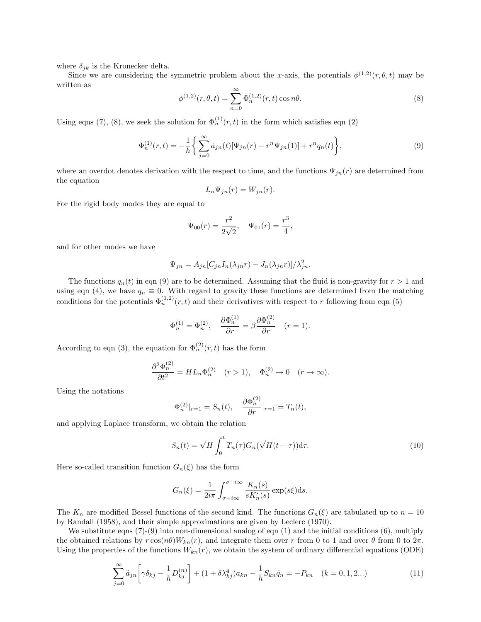where  $\delta_{ik}$  is the Kronecker delta.

Since we are considering the symmetric problem about the x-axis, the potentials  $\phi^{(1,2)}(r,\theta,t)$  may be written as

$$
\phi^{(1,2)}(r,\theta,t) = \sum_{n=0}^{\infty} \Phi_n^{(1,2)}(r,t) \cos n\theta.
$$
 (8)

Using eqns (7), (8), we seek the solution for  $\Phi_n^{(1)}(r,t)$  in the form which satisfies eqn (2)

$$
\Phi_n^{(1)}(r,t) = -\frac{1}{h} \bigg\{ \sum_{j=0}^{\infty} \dot{a}_{jn}(t) [\Psi_{jn}(r) - r^n \Psi_{jn}(1)] + r^n q_n(t) \bigg\},\tag{9}
$$

where an overdot denotes derivation with the respect to time, and the functions  $\Psi_{jn}(r)$  are determined from the equation

$$
L_n \Psi_{jn}(r) = W_{jn}(r).
$$

For the rigid body modes they are equal to

$$
\Psi_{00}(r) = \frac{r^2}{2\sqrt{2}}, \quad \Psi_{01}(r) = \frac{r^3}{4},
$$

and for other modes we have

$$
\Psi_{jn} = A_{jn} [C_{jn} I_n(\lambda_{jn}r) - J_n(\lambda_{jn}r)]/\lambda_{jn}^2.
$$

The functions  $q_n(t)$  in eqn (9) are to be determined. Assuming that the fluid is non-gravity for  $r > 1$  and using eqn (4), we have  $q_n \equiv 0$ . With regard to gravity these functions are determined from the matching conditions for the potentials  $\Phi_n^{(1,2)}(r,t)$  and their derivatives with respect to r following from eqn (5)

$$
\Phi_n^{(1)} = \Phi_n^{(2)}, \quad \frac{\partial \Phi_n^{(1)}}{\partial r} = \beta \frac{\partial \Phi_n^{(2)}}{\partial r} \quad (r = 1).
$$

According to eqn (3), the equation for  $\Phi_n^{(2)}(r, t)$  has the form

$$
\frac{\partial^2 \Phi_n^{(2)}}{\partial t^2} = HL_n\Phi_n^{(2)} \quad (r>1), \quad \Phi_n^{(2)} \to 0 \quad (r \to \infty).
$$

Using the notations

$$
\Phi_n^{(2)}|_{r=1} = S_n(t), \quad \frac{\partial \Phi_n^{(2)}}{\partial r}|_{r=1} = T_n(t),
$$

and applying Laplace transform, we obtain the relation

$$
S_n(t) = \sqrt{H} \int_0^t T_n(\tau) G_n(\sqrt{H}(t-\tau)) \mathrm{d}\tau.
$$
 (10)

Here so-called transition function  $G_n(\xi)$  has the form

$$
G_n(\xi) = \frac{1}{2i\pi} \int_{\sigma - i\infty}^{\sigma + i\infty} \frac{K_n(s)}{sK'_n(s)} \exp(s\xi) \mathrm{d}s.
$$

The  $K_n$  are modified Bessel functions of the second kind. The functions  $G_n(\xi)$  are tabulated up to  $n = 10$ by Randall (1958), and their simple approximations are given by Leclerc (1970).

We substitute eqns  $(7)-(9)$  into non-dimensional analog of eqn  $(1)$  and the initial conditions  $(6)$ , multiply the obtained relations by  $r \cos(n\theta) W_{kn}(r)$ , and integrate them over r from 0 to 1 and over  $\theta$  from 0 to  $2\pi$ . Using the properties of the functions  $W_{kn}(r)$ , we obtain the system of ordinary differential equations (ODE)

$$
\sum_{j=0}^{\infty} \ddot{a}_{jn} \left[ \gamma \delta_{kj} - \frac{1}{h} D_{kj}^{(n)} \right] + (1 + \delta \lambda_{kj}^4) a_{kn} - \frac{1}{h} S_{kn} \dot{q}_n = -P_{kn} \quad (k = 0, 1, 2...)
$$
 (11)